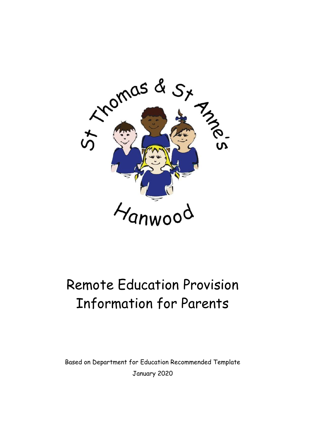

# Remote Education Provision Information for Parents

Based on Department for Education Recommended Template January 2020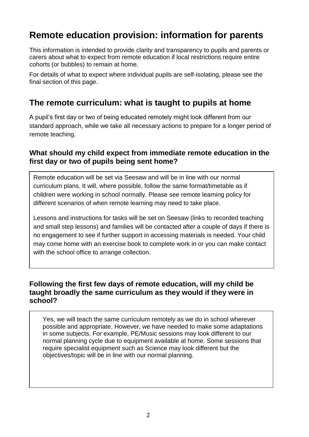# **Remote education provision: information for parents**

This information is intended to provide clarity and transparency to pupils and parents or carers about what to expect from remote education if local restrictions require entire cohorts (or bubbles) to remain at home.

For details of what to expect where individual pupils are self-isolating, please see the final section of this page.

## **The remote curriculum: what is taught to pupils at home**

A pupil's first day or two of being educated remotely might look different from our standard approach, while we take all necessary actions to prepare for a longer period of remote teaching.

#### **What should my child expect from immediate remote education in the first day or two of pupils being sent home?**

Remote education will be set via Seesaw and will be in line with our normal curriculum plans. It will, where possible, follow the same format/timetable as if children were working in school normally. Please see remote learning policy for different scenarios of when remote learning may need to take place.

Lessons and instructions for tasks will be set on Seesaw (links to recorded teaching and small step lessons) and families will be contacted after a couple of days if there is no engagement to see if further support in accessing materials is needed. Your child may come home with an exercise book to complete work in or you can make contact with the school office to arrange collection.

#### **Following the first few days of remote education, will my child be taught broadly the same curriculum as they would if they were in school?**

Yes, we will teach the same curriculum remotely as we do in school wherever possible and appropriate. However, we have needed to make some adaptations in some subjects. For example, PE/Music sessions may look different to our normal planning cycle due to equipment available at home. Some sessions that require specialist equipment such as Science may look different but the objectives/topic will be in line with our normal planning.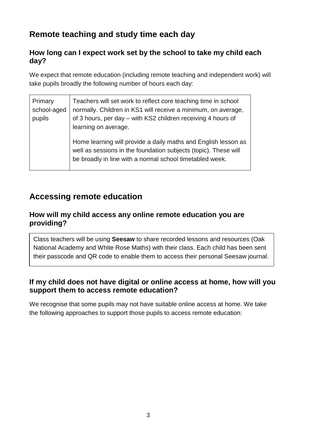## **Remote teaching and study time each day**

#### **How long can I expect work set by the school to take my child each day?**

We expect that remote education (including remote teaching and independent work) will take pupils broadly the following number of hours each day:

| Primary<br>school-aged<br>pupils | Teachers will set work to reflect core teaching time in school<br>normally. Children in KS1 will receive a minimum, on average,<br>of 3 hours, per day - with KS2 children receiving 4 hours of<br>learning on average. |
|----------------------------------|-------------------------------------------------------------------------------------------------------------------------------------------------------------------------------------------------------------------------|
|                                  | Home learning will provide a daily maths and English lesson as<br>well as sessions in the foundation subjects (topic). These will<br>be broadly in line with a normal school timetabled week.                           |

### **Accessing remote education**

#### **How will my child access any online remote education you are providing?**

Class teachers will be using **Seesaw** to share recorded lessons and resources (Oak National Academy and White Rose Maths) with their class. Each child has been sent their passcode and QR code to enable them to access their personal Seesaw journal.

#### **If my child does not have digital or online access at home, how will you support them to access remote education?**

We recognise that some pupils may not have suitable online access at home. We take the following approaches to support those pupils to access remote education: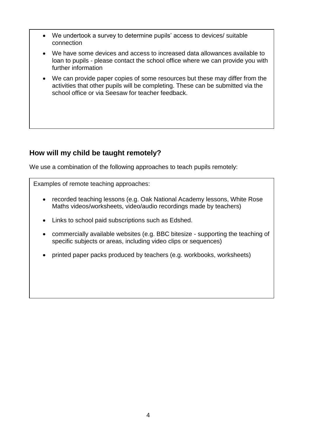- We undertook a survey to determine pupils' access to devices/ suitable connection
- We have some devices and access to increased data allowances available to loan to pupils - please contact the school office where we can provide you with further information
- We can provide paper copies of some resources but these may differ from the activities that other pupils will be completing. These can be submitted via the school office or via Seesaw for teacher feedback.

#### **How will my child be taught remotely?**

We use a combination of the following approaches to teach pupils remotely:

Examples of remote teaching approaches:

- recorded teaching lessons (e.g. Oak National Academy lessons, White Rose Maths videos/worksheets, video/audio recordings made by teachers)
- Links to school paid subscriptions such as Edshed.
- commercially available websites (e.g. BBC bitesize supporting the teaching of specific subjects or areas, including video clips or sequences)
- printed paper packs produced by teachers (e.g. workbooks, worksheets)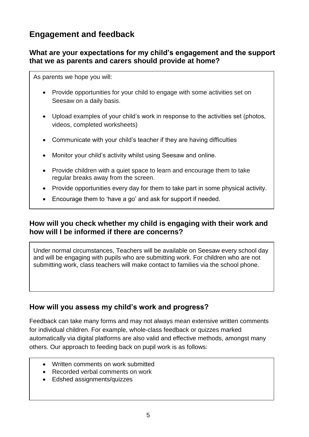## **Engagement and feedback**

#### **What are your expectations for my child's engagement and the support that we as parents and carers should provide at home?**

As parents we hope you will:

- Provide opportunities for your child to engage with some activities set on Seesaw on a daily basis.
- Upload examples of your child's work in response to the activities set (photos, videos, completed worksheets)
- Communicate with your child's teacher if they are having difficulties
- Monitor your child's activity whilst using Seesaw and online.
- Provide children with a quiet space to learn and encourage them to take regular breaks away from the screen.
- Provide opportunities every day for them to take part in some physical activity.
- Encourage them to 'have a go' and ask for support if needed.

#### **How will you check whether my child is engaging with their work and how will I be informed if there are concerns?**

Under normal circumstances, Teachers will be available on Seesaw every school day and will be engaging with pupils who are submitting work. For children who are not submitting work, class teachers will make contact to families via the school phone.

#### **How will you assess my child's work and progress?**

Feedback can take many forms and may not always mean extensive written comments for individual children. For example, whole-class feedback or quizzes marked automatically via digital platforms are also valid and effective methods, amongst many others. Our approach to feeding back on pupil work is as follows:

- Written comments on work submitted
- Recorded verbal comments on work
- Edshed assignments/quizzes